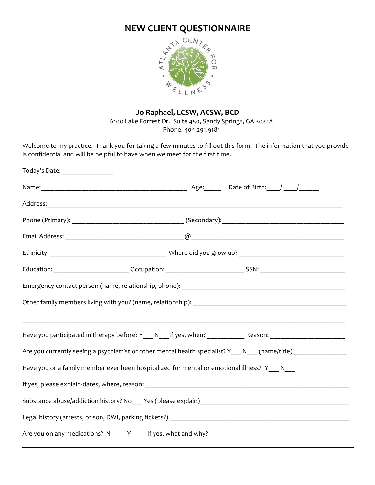

# **Jo Raphael, LCSW, ACSW, BCD**

6100 Lake Forrest Dr., Suite 450, Sandy Springs, GA 30328 Phone: 404.291.9181

Welcome to my practice. Thank you for taking a few minutes to fill out this form. The information that you provide is confidential and will be helpful to have when we meet for the first time.

| Today's Date: _________________                                                               |                                                                                                                |  |  |  |  |
|-----------------------------------------------------------------------------------------------|----------------------------------------------------------------------------------------------------------------|--|--|--|--|
|                                                                                               |                                                                                                                |  |  |  |  |
|                                                                                               |                                                                                                                |  |  |  |  |
|                                                                                               |                                                                                                                |  |  |  |  |
|                                                                                               |                                                                                                                |  |  |  |  |
|                                                                                               |                                                                                                                |  |  |  |  |
|                                                                                               |                                                                                                                |  |  |  |  |
|                                                                                               |                                                                                                                |  |  |  |  |
|                                                                                               |                                                                                                                |  |  |  |  |
|                                                                                               | Have you participated in therapy before? Y___ N___If yes, when? _______________Reason: _______________________ |  |  |  |  |
|                                                                                               | Are you currently seeing a psychiatrist or other mental health specialist? Y___ N___ (name/title)_____________ |  |  |  |  |
| Have you or a family member ever been hospitalized for mental or emotional illness? Y___ N___ |                                                                                                                |  |  |  |  |
|                                                                                               |                                                                                                                |  |  |  |  |
|                                                                                               |                                                                                                                |  |  |  |  |
|                                                                                               |                                                                                                                |  |  |  |  |
|                                                                                               |                                                                                                                |  |  |  |  |